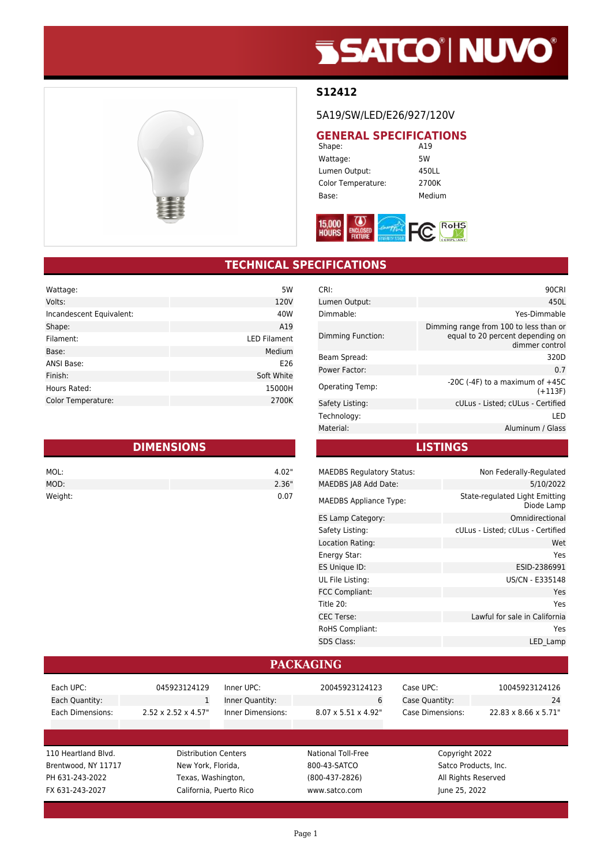# **SSATCO' NUVO'**



#### **S12412**

5A19/SW/LED/E26/927/120V

### **GENERAL SPECIFICATIONS**<br>Shape: **A19**

Shape: Wattage: 5W Lumen Output: 450LL Color Temperature: 2700K Base: Medium



### **TECHNICAL SPECIFICATIONS**

| Wattage:                 | 5W                  |
|--------------------------|---------------------|
| Volts:                   | 120V                |
| Incandescent Equivalent: | 40W                 |
| Shape:                   | A19                 |
| Filament:                | <b>LED Filament</b> |
| Base:                    | Medium              |
| ANSI Base:               | E26                 |
| Finish:                  | Soft White          |
| Hours Rated:             | 15000H              |
| Color Temperature:       | 2700K               |

| <b>DIMENSIONS</b> |       |  |
|-------------------|-------|--|
| MOL:              | 4.02" |  |
| MOD:              | 2.36" |  |
| Weight:           | 0.07  |  |

| CRI:                   | 90CRI                                                                                        |
|------------------------|----------------------------------------------------------------------------------------------|
| Lumen Output:          | 450L                                                                                         |
| Dimmable:              | Yes-Dimmable                                                                                 |
| Dimming Function:      | Dimming range from 100 to less than or<br>equal to 20 percent depending on<br>dimmer control |
| Beam Spread:           | 320D                                                                                         |
| Power Factor:          | 0.7                                                                                          |
| <b>Operating Temp:</b> | $-20C$ ( $-4F$ ) to a maximum of $+45C$<br>$(+113F)$                                         |
| Safety Listing:        | cULus - Listed; cULus - Certified                                                            |
| Technology:            | I FD                                                                                         |
| Material:              | Aluminum / Glass                                                                             |
|                        |                                                                                              |

**LISTINGS**

| <b>MAEDBS Regulatory Status:</b> | Non Federally-Regulated                      |
|----------------------------------|----------------------------------------------|
| MAEDBS JA8 Add Date:             | 5/10/2022                                    |
| <b>MAEDBS Appliance Type:</b>    | State-regulated Light Emitting<br>Diode Lamp |
| ES Lamp Category:                | Omnidirectional                              |
| Safety Listing:                  | cULus - Listed; cULus - Certified            |
| Location Rating:                 | Wet                                          |
| Energy Star:                     | Yes                                          |
| ES Unique ID:                    | ESID-2386991                                 |
| UL File Listing:                 | US/CN - E335148                              |
| FCC Compliant:                   | Yes                                          |
| Title 20:                        | Yes                                          |
| <b>CEC Terse:</b>                | Lawful for sale in California                |
| <b>RoHS Compliant:</b>           | Yes                                          |
| <b>SDS Class:</b>                | LED Lamp                                     |
|                                  |                                              |

#### **PACKAGING**

| Each UPC:           | 045923124129                     | Inner UPC:              | 20045923124123                   | Case UPC:        | 10045923124126       |
|---------------------|----------------------------------|-------------------------|----------------------------------|------------------|----------------------|
| Each Quantity:      | 1                                | Inner Quantity:         | 6                                | Case Quantity:   | 24                   |
| Each Dimensions:    | $2.52 \times 2.52 \times 4.57$ " | Inner Dimensions:       | $8.07 \times 5.51 \times 4.92$ " | Case Dimensions: | 22.83 x 8.66 x 5.71" |
|                     |                                  |                         |                                  |                  |                      |
|                     |                                  |                         |                                  |                  |                      |
|                     |                                  |                         |                                  |                  |                      |
| 110 Heartland Blvd. | <b>Distribution Centers</b>      |                         | National Toll-Free               | Copyright 2022   |                      |
| Brentwood, NY 11717 | New York, Florida.               |                         | 800-43-SATCO                     |                  | Satco Products, Inc. |
| PH 631-243-2022     | Texas, Washington,               |                         | $(800-437-2826)$                 |                  | All Rights Reserved  |
| FX 631-243-2027     |                                  | California, Puerto Rico | www.satco.com                    | June 25, 2022    |                      |